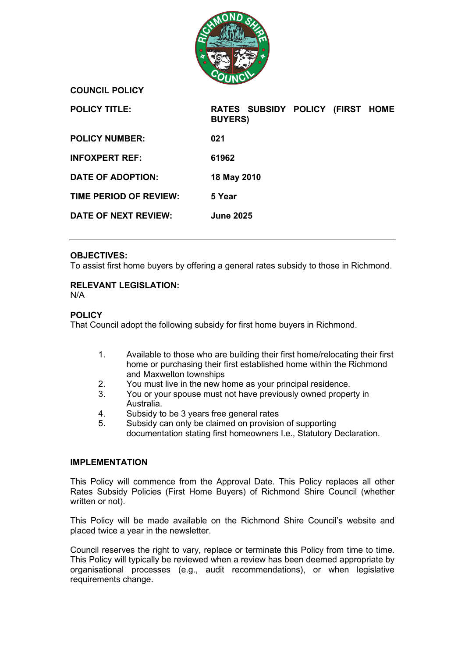

**COUNCIL POLICY**

| <b>POLICY TITLE:</b>        | RATES SUBSIDY POLICY (FIRST HOME<br><b>BUYERS</b> ) |
|-----------------------------|-----------------------------------------------------|
| <b>POLICY NUMBER:</b>       | 021                                                 |
| <b>INFOXPERT REF:</b>       | 61962                                               |
| DATE OF ADOPTION:           | 18 May 2010                                         |
| TIME PERIOD OF REVIEW:      | 5 Year                                              |
| <b>DATE OF NEXT REVIEW:</b> | <b>June 2025</b>                                    |

## **OBJECTIVES:**

To assist first home buyers by offering a general rates subsidy to those in Richmond.

### **RELEVANT LEGISLATION:**

N/A

### **POLICY**

That Council adopt the following subsidy for first home buyers in Richmond.

- 1. Available to those who are building their first home/relocating their first home or purchasing their first established home within the Richmond and Maxwelton townships
- 2. You must live in the new home as your principal residence.
- 3. You or your spouse must not have previously owned property in Australia.
- 4. Subsidy to be 3 years free general rates
- 5. Subsidy can only be claimed on provision of supporting documentation stating first homeowners I.e., Statutory Declaration.

#### **IMPLEMENTATION**

This Policy will commence from the Approval Date. This Policy replaces all other Rates Subsidy Policies (First Home Buyers) of Richmond Shire Council (whether written or not).

This Policy will be made available on the Richmond Shire Council's website and placed twice a year in the newsletter.

Council reserves the right to vary, replace or terminate this Policy from time to time. This Policy will typically be reviewed when a review has been deemed appropriate by organisational processes (e.g., audit recommendations), or when legislative requirements change.